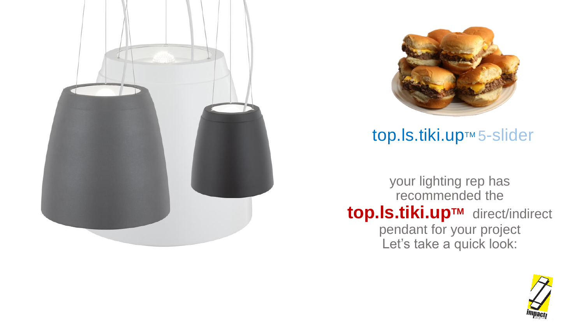



### top.ls.tiki.up™ 5-slider

your lighting rep has recommended the **top.ls.tiki.upTM** direct/indirect pendant for your project Let's take a quick look:

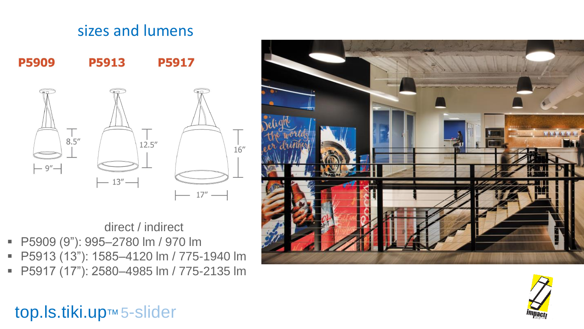# sizes and lumens **P5909 P5913 P5917**  $8.5''$  $12.5''$  $-9'' -13''$  —

 $16''$ 

direct / indirect

- P5909 (9"): 995-2780 lm / 970 lm
- P5913 (13"): 1585-4120 lm / 775-1940 lm
- P5917 (17"): 2580–4985 lm / 775-2135 lm





## top.ls.tiki.up™ 5-slider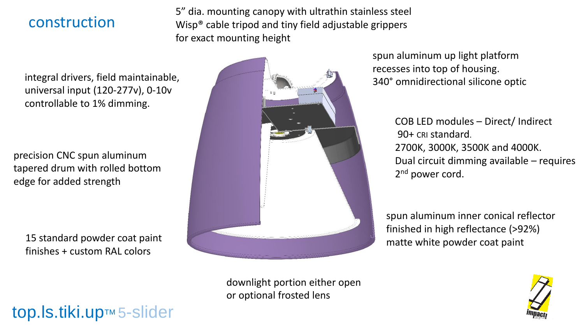#### construction

5" dia. mounting canopy with ultrathin stainless steel Wisp® cable tripod and tiny field adjustable grippers for exact mounting height

integral drivers, field maintainable, universal input (120-277v), 0-10v controllable to 1% dimming.

precision CNC spun aluminum tapered drum with rolled bottom edge for added strength

15 standard powder coat paint finishes + custom RAL colors

top.ls.tiki.up™ 5-slider



spun aluminum up light platform recesses into top of housing. 340° omnidirectional silicone optic

> COB LED modules – Direct/ Indirect 90+ CRI standard. 2700K, 3000K, 3500K and 4000K. Dual circuit dimming available – requires 2<sup>nd</sup> power cord.

spun aluminum inner conical reflector finished in high reflectance (>92%) matte white powder coat paint

downlight portion either open or optional frosted lens

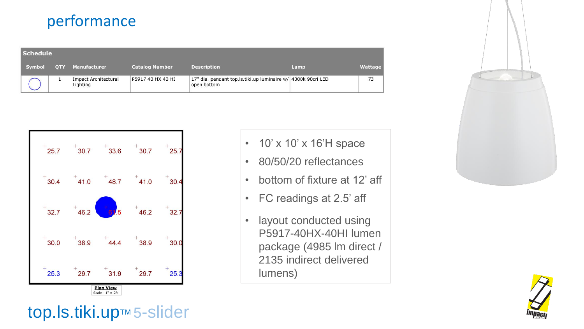#### performance

| Schedule |            |                                         |                       |                                                                             |      |         |
|----------|------------|-----------------------------------------|-----------------------|-----------------------------------------------------------------------------|------|---------|
| Symbol   | <b>OTY</b> | Manufacturer                            | <b>Catalog Number</b> | <b>Description</b>                                                          | Lamp | Wattage |
|          |            | <b>Impact Architectural</b><br>Lighting | P5917 40 HX 40 HI     | 17" dia. pendant top.ls.tiki.up luminaire w/ 4000k 90cri LED<br>open bottom |      | 73      |



- 10' x 10' x 16'H space
- 80/50/20 reflectances
- bottom of fixture at 12' aff
- FC readings at 2.5' aff
- layout conducted using P5917-40HX-40HI lumen package (4985 lm direct / 2135 indirect delivered lumens)





# top.ls.tiki.up™ 5-slider